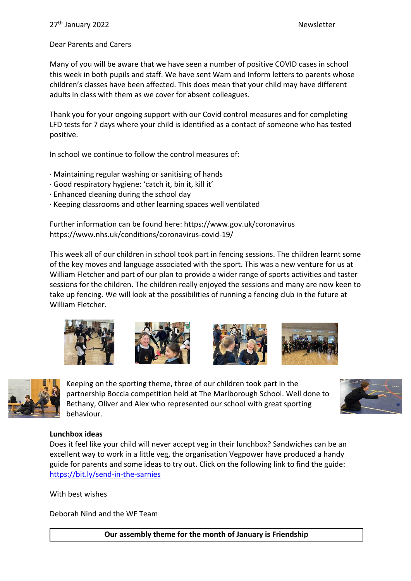### Dear Parents and Carers

Many of you will be aware that we have seen a number of positive COVID cases in school this week in both pupils and staff. We have sent Warn and Inform letters to parents whose children's classes have been affected. This does mean that your child may have different adults in class with them as we cover for absent colleagues.

Thank you for your ongoing support with our Covid control measures and for completing LFD tests for 7 days where your child is identified as a contact of someone who has tested positive.

In school we continue to follow the control measures of:

- · Maintaining regular washing or sanitising of hands
- · Good respiratory hygiene: 'catch it, bin it, kill it'
- · Enhanced cleaning during the school day
- · Keeping classrooms and other learning spaces well ventilated

Further information can be found here: https://www.gov.uk/coronavirus https://www.nhs.uk/conditions/coronavirus-covid-19/

This week all of our children in school took part in fencing sessions. The children learnt some of the key moves and language associated with the sport. This was a new venture for us at William Fletcher and part of our plan to provide a wider range of sports activities and taster sessions for the children. The children really enjoyed the sessions and many are now keen to take up fencing. We will look at the possibilities of running a fencing club in the future at William Fletcher.











Keeping on the sporting theme, three of our children took part in the partnership Boccia competition held at The Marlborough School. Well done to Bethany, Oliver and Alex who represented our school with great sporting behaviour.



#### **Lunchbox ideas**

Does it feel like your child will never accept veg in their lunchbox? Sandwiches can be an excellent way to work in a little veg, the organisation Vegpower have produced a handy guide for parents and some ideas to try out. Click on the following link to find the guide: <https://bit.ly/send-in-the-sarnies>

With best wishes

Deborah Nind and the WF Team

**Our assembly theme for the month of January is Friendship**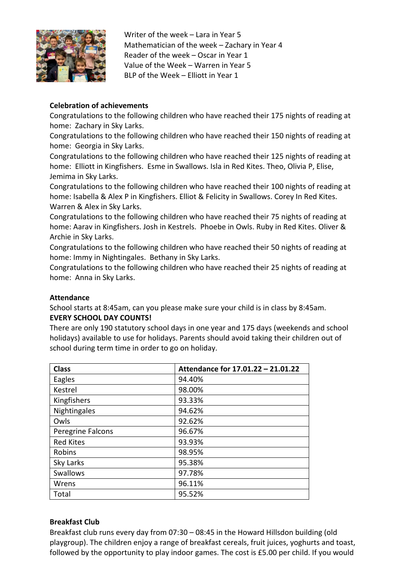

Writer of the week – Lara in Year 5 Mathematician of the week – Zachary in Year 4 Reader of the week – Oscar in Year 1 Value of the Week – Warren in Year 5 BLP of the Week – Elliott in Year 1

# **Celebration of achievements**

Congratulations to the following children who have reached their 175 nights of reading at home: Zachary in Sky Larks.

Congratulations to the following children who have reached their 150 nights of reading at home: Georgia in Sky Larks.

Congratulations to the following children who have reached their 125 nights of reading at home: Elliott in Kingfishers. Esme in Swallows. Isla in Red Kites. Theo, Olivia P, Elise, Jemima in Sky Larks.

Congratulations to the following children who have reached their 100 nights of reading at home: Isabella & Alex P in Kingfishers. Elliot & Felicity in Swallows. Corey In Red Kites. Warren & Alex in Sky Larks.

Congratulations to the following children who have reached their 75 nights of reading at home: Aarav in Kingfishers. Josh in Kestrels. Phoebe in Owls. Ruby in Red Kites. Oliver & Archie in Sky Larks.

Congratulations to the following children who have reached their 50 nights of reading at home: Immy in Nightingales. Bethany in Sky Larks.

Congratulations to the following children who have reached their 25 nights of reading at home: Anna in Sky Larks.

# **Attendance**

School starts at 8:45am, can you please make sure your child is in class by 8:45am.

# **EVERY SCHOOL DAY COUNTS!**

There are only 190 statutory school days in one year and 175 days (weekends and school holidays) available to use for holidays. Parents should avoid taking their children out of school during term time in order to go on holiday.

| <b>Class</b>      | Attendance for 17.01.22 - 21.01.22 |
|-------------------|------------------------------------|
| Eagles            | 94.40%                             |
| Kestrel           | 98.00%                             |
| Kingfishers       | 93.33%                             |
| Nightingales      | 94.62%                             |
| Owls              | 92.62%                             |
| Peregrine Falcons | 96.67%                             |
| <b>Red Kites</b>  | 93.93%                             |
| Robins            | 98.95%                             |
| Sky Larks         | 95.38%                             |
| Swallows          | 97.78%                             |
| Wrens             | 96.11%                             |
| Total             | 95.52%                             |

# **Breakfast Club**

Breakfast club runs every day from 07:30 – 08:45 in the Howard Hillsdon building (old playgroup). The children enjoy a range of breakfast cereals, fruit juices, yoghurts and toast, followed by the opportunity to play indoor games. The cost is £5.00 per child. If you would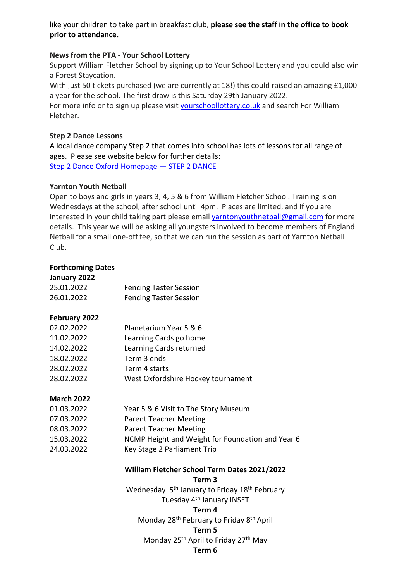like your children to take part in breakfast club, **please see the staff in the office to book prior to attendance.**

### **News from the PTA - Your School Lottery**

Support William Fletcher School by signing up to Your School Lottery and you could also win a Forest Staycation.

With just 50 tickets purchased (we are currently at 18!) this could raised an amazing £1,000 a year for the school. The first draw is this Saturday 29th January 2022. For more info or to sign up please visit [yourschoollottery.co.uk](http://yourschoollottery.co.uk/) and search For William

Fletcher.

### **Step 2 Dance Lessons**

A local dance company Step 2 that comes into school has lots of lessons for all range of ages. Please see website below for further details: [Step 2 Dance Oxford Homepage](https://www.step2dance.co.uk/home) — STEP 2 DANCE

### **Yarnton Youth Netball**

Open to boys and girls in years 3, 4, 5 & 6 from William Fletcher School. Training is on Wednesdays at the school, after school until 4pm. Places are limited, and if you are interested in your child taking part please email [yarntonyouthnetball@gmail.com](mailto:yarntonyouthnetball@gmail.com) for more details. This year we will be asking all youngsters involved to become members of England Netball for a small one-off fee, so that we can run the session as part of Yarnton Netball Club.

### **Forthcoming Dates**

| January 2022      |                                                                       |
|-------------------|-----------------------------------------------------------------------|
| 25.01.2022        | <b>Fencing Taster Session</b>                                         |
| 26.01.2022        | <b>Fencing Taster Session</b>                                         |
| February 2022     |                                                                       |
| 02.02.2022        | Planetarium Year 5 & 6                                                |
| 11.02.2022        | Learning Cards go home                                                |
| 14.02.2022        | Learning Cards returned                                               |
| 18.02.2022        | Term 3 ends                                                           |
| 28.02.2022        | Term 4 starts                                                         |
| 28.02.2022        | West Oxfordshire Hockey tournament                                    |
| <b>March 2022</b> |                                                                       |
| 01.03.2022        | Year 5 & 6 Visit to The Story Museum                                  |
| 07.03.2022        | <b>Parent Teacher Meeting</b>                                         |
| 08.03.2022        | <b>Parent Teacher Meeting</b>                                         |
| 15.03.2022        | NCMP Height and Weight for Foundation and Year 6                      |
| 24.03.2022        | Key Stage 2 Parliament Trip                                           |
|                   | William Fletcher School Term Dates 2021/2022<br>Term <sub>3</sub>     |
|                   | Wednesday 5 <sup>th</sup> January to Friday 18 <sup>th</sup> February |
|                   | Tuesday 4 <sup>th</sup> January INSET                                 |
|                   | Term 4                                                                |
|                   | Monday 28 <sup>th</sup> February to Friday 8 <sup>th</sup> April      |
|                   | Term 5                                                                |
|                   |                                                                       |
|                   | Monday 25 <sup>th</sup> April to Friday 27 <sup>th</sup> May          |

**Term 6**